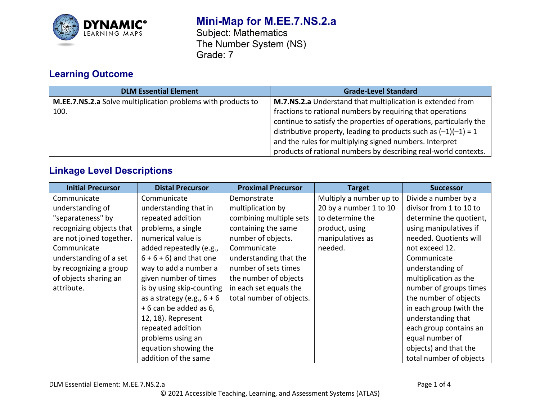

## **Mini-Map for M.EE.7.NS.2.a**

Subject: Mathematics The Number System (NS) Grade: 7

# **Learning Outcome**

| <b>DLM Essential Element</b>                                 | <b>Grade-Level Standard</b>                                        |
|--------------------------------------------------------------|--------------------------------------------------------------------|
| M.EE.7.NS.2.a Solve multiplication problems with products to | M.7.NS.2.a Understand that multiplication is extended from         |
| 100.                                                         | fractions to rational numbers by requiring that operations         |
|                                                              | continue to satisfy the properties of operations, particularly the |
|                                                              | distributive property, leading to products such as $(-1)(-1) = 1$  |
|                                                              | and the rules for multiplying signed numbers. Interpret            |
|                                                              | products of rational numbers by describing real-world contexts.    |

### **Linkage Level Descriptions**

| <b>Initial Precursor</b> | <b>Distal Precursor</b>      | <b>Proximal Precursor</b> | <b>Target</b>           | <b>Successor</b>        |
|--------------------------|------------------------------|---------------------------|-------------------------|-------------------------|
| Communicate              | Communicate                  | Demonstrate               | Multiply a number up to | Divide a number by a    |
| understanding of         | understanding that in        | multiplication by         | 20 by a number 1 to 10  | divisor from 1 to 10 to |
| "separateness" by        | repeated addition            | combining multiple sets   | to determine the        | determine the quotient, |
| recognizing objects that | problems, a single           | containing the same       | product, using          | using manipulatives if  |
| are not joined together. | numerical value is           | number of objects.        | manipulatives as        | needed. Quotients will  |
| Communicate              | added repeatedly (e.g.,      | Communicate               | needed.                 | not exceed 12.          |
| understanding of a set   | $6 + 6 + 6$ ) and that one   | understanding that the    |                         | Communicate             |
| by recognizing a group   | way to add a number a        | number of sets times      |                         | understanding of        |
| of objects sharing an    | given number of times        | the number of objects     |                         | multiplication as the   |
| attribute.               | is by using skip-counting    | in each set equals the    |                         | number of groups times  |
|                          | as a strategy (e.g., $6 + 6$ | total number of objects.  |                         | the number of objects   |
|                          | + 6 can be added as 6,       |                           |                         | in each group (with the |
|                          | 12, 18). Represent           |                           |                         | understanding that      |
|                          | repeated addition            |                           |                         | each group contains an  |
|                          | problems using an            |                           |                         | equal number of         |
|                          | equation showing the         |                           |                         | objects) and that the   |
|                          | addition of the same         |                           |                         | total number of objects |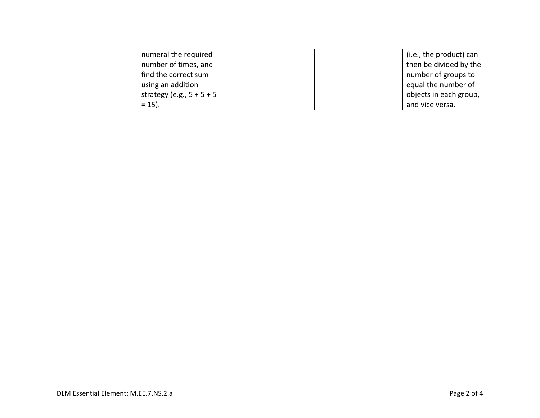| numeral the required        | (i.e., the product) can |
|-----------------------------|-------------------------|
| number of times, and        | then be divided by the  |
| find the correct sum        | number of groups to     |
| using an addition           | equal the number of     |
| strategy (e.g., $5 + 5 + 5$ | objects in each group,  |
| $= 15$ ).                   | and vice versa.         |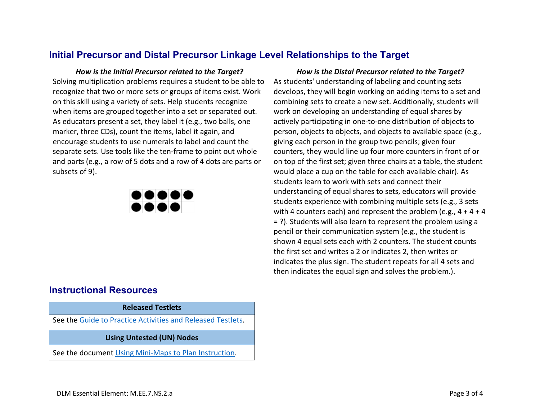#### **Initial Precursor and Distal Precursor Linkage Level Relationships to the Target**

Solving multiplication problems requires a student to be able to recognize that two or more sets or groups of items exist. Work on this skill using a variety of sets. Help students recognize when items are grouped together into a set or separated out. As educators present a set, they label it (e.g., two balls, one marker, three CDs), count the items, label it again, and encourage students to use numerals to label and count the separate sets. Use tools like the ten-frame to point out whole and parts (e.g., a row of 5 dots and a row of 4 dots are parts or subsets of 9).



### **Instructional Resources**

#### **Released Testlets**

See the [Guide to Practice Activities and Released Testlets.](https://dynamiclearningmaps.org/sites/default/files/documents/Manuals_Blueprints/Guide_to_Practice_Activities_and_Released_Testlets.pdf)

**Using Untested (UN) Nodes**

See the document [Using Mini-Maps to Plan Instruction.](https://dynamiclearningmaps.org/sites/default/files/documents/Using_Mini_Maps_to_Plan_Instruction.pdf)

*How is the Initial Precursor related to the Target? How is the Distal Precursor related to the Target?* As students' understanding of labeling and counting sets develops, they will begin working on adding items to a set and combining sets to create a new set. Additionally, students will work on developing an understanding of equal shares by actively participating in one-to-one distribution of objects to person, objects to objects, and objects to available space (e.g., giving each person in the group two pencils; given four counters, they would line up four more counters in front of or on top of the first set; given three chairs at a table, the student would place a cup on the table for each available chair). As students learn to work with sets and connect their understanding of equal shares to sets, educators will provide students experience with combining multiple sets (e.g., 3 sets with 4 counters each) and represent the problem (e.g.,  $4 + 4 + 4$ = ?). Students will also learn to represent the problem using a pencil or their communication system (e.g., the student is shown 4 equal sets each with 2 counters. The student counts the first set and writes a 2 or indicates 2, then writes or indicates the plus sign. The student repeats for all 4 sets and then indicates the equal sign and solves the problem.).